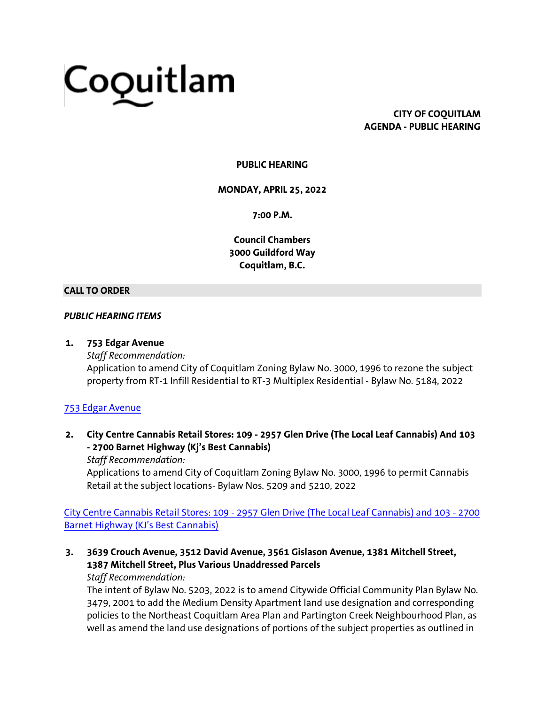# Coquitlam

**CITY OF COQUITLAM AGENDA - PUBLIC HEARING**

### **PUBLIC HEARING**

**MONDAY, APRIL 25, 2022**

**7:00 P.M.**

**Council Chambers 3000 Guildford Way Coquitlam, B.C.**

### **CALL TO ORDER**

### *PUBLIC HEARING ITEMS*

### **1. 753 Edgar Avenue**

*Staff Recommendation:*

Application to amend City of Coquitlam Zoning Bylaw No. 3000, 1996 to rezone the subject property from RT-1 Infill Residential to RT-3 Multiplex Residential - Bylaw No. 5184, 2022

### [753 Edgar Avenue](https://coquitlam.ca.granicus.com/MetaViewer.php?view_id=2&event_id=1411&meta_id=54681)

## **2. City Centre Cannabis Retail Stores: 109 - 2957 Glen Drive (The Local Leaf Cannabis) And 103 - 2700 Barnet Highway (Kj's Best Cannabis)**

*Staff Recommendation:*

Applications to amend City of Coquitlam Zoning Bylaw No. 3000, 1996 to permit Cannabis Retail at the subject locations- Bylaw Nos. 5209 and 5210, 2022

City Centre Cannabis Retail Stores: 109 - [2957 Glen Drive \(The Local Leaf Cannabis\) and 103 -](https://coquitlam.ca.granicus.com/MetaViewer.php?view_id=2&event_id=1411&meta_id=54683) 2700 [Barnet Highway \(KJ's Best Cannabis\)](https://coquitlam.ca.granicus.com/MetaViewer.php?view_id=2&event_id=1411&meta_id=54683)

# **3. 3639 Crouch Avenue, 3512 David Avenue, 3561 Gislason Avenue, 1381 Mitchell Street, 1387 Mitchell Street, Plus Various Unaddressed Parcels**

### *Staff Recommendation:*

The intent of Bylaw No. 5203, 2022 is to amend Citywide Official Community Plan Bylaw No. 3479, 2001 to add the Medium Density Apartment land use designation and corresponding policies to the Northeast Coquitlam Area Plan and Partington Creek Neighbourhood Plan, as well as amend the land use designations of portions of the subject properties as outlined in